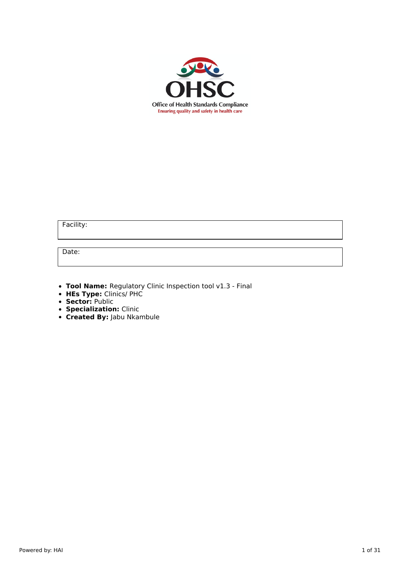

Facility:

Date:

- **Tool Name:** Regulatory Clinic Inspection tool v1.3 Final
- **HEs Type:** Clinics/ PHC
- **Sector:** Public
- **Specialization:** Clinic
- **Created By:** Jabu Nkambule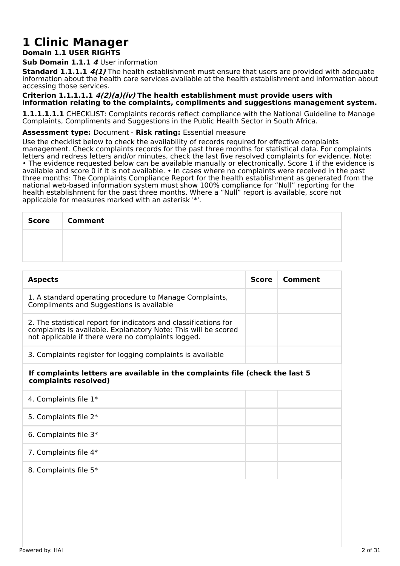# **1 Clinic Manager**

# **Domain 1.1 USER RIGHTS**

**Sub Domain 1.1.1 4** User information

**Standard 1.1.1.1 4(1)** The health establishment must ensure that users are provided with adequate information about the health care services available at the health establishment and information about accessing those services.

#### **Criterion 1.1.1.1.1 4(2)(a)(iv) The health establishment must provide users with information relating to the complaints, compliments and suggestions management system.**

**1.1.1.1.1.1** CHECKLIST: Complaints records reflect compliance with the National Guideline to Manage Complaints, Compliments and Suggestions in the Public Health Sector in South Africa.

# **Assessment type:** Document - **Risk rating:** Essential measure

Use the checklist below to check the availability of records required for effective complaints management. Check complaints records for the past three months for statistical data. For complaints letters and redress letters and/or minutes, check the last five resolved complaints for evidence. Note: • The evidence requested below can be available manually or electronically. Score 1 if the evidence is available and score 0 if it is not available. • In cases where no complaints were received in the past three months: The Complaints Compliance Report for the health establishment as generated from the national web-based information system must show 100% compliance for "Null" reporting for the health establishment for the past three months. Where a "Null" report is available, score not applicable for measures marked with an asterisk '\*'.

| <b>Score</b> | <b>Comment</b> |
|--------------|----------------|
|              |                |
|              |                |

| <b>Aspects</b>                                                                                                                                                                           | <b>Score</b> | Comment |  |
|------------------------------------------------------------------------------------------------------------------------------------------------------------------------------------------|--------------|---------|--|
| 1. A standard operating procedure to Manage Complaints,<br>Compliments and Suggestions is available                                                                                      |              |         |  |
| 2. The statistical report for indicators and classifications for<br>complaints is available. Explanatory Note: This will be scored<br>not applicable if there were no complaints logged. |              |         |  |
| 3. Complaints register for logging complaints is available                                                                                                                               |              |         |  |
| If complaints letters are available in the complaints file (check the last 5<br>complaints resolved)                                                                                     |              |         |  |
| 4. Complaints file 1*                                                                                                                                                                    |              |         |  |
| 5. Complaints file 2*                                                                                                                                                                    |              |         |  |
| 6. Complaints file 3*                                                                                                                                                                    |              |         |  |
| 7. Complaints file 4*                                                                                                                                                                    |              |         |  |
| 8. Complaints file 5*                                                                                                                                                                    |              |         |  |
|                                                                                                                                                                                          |              |         |  |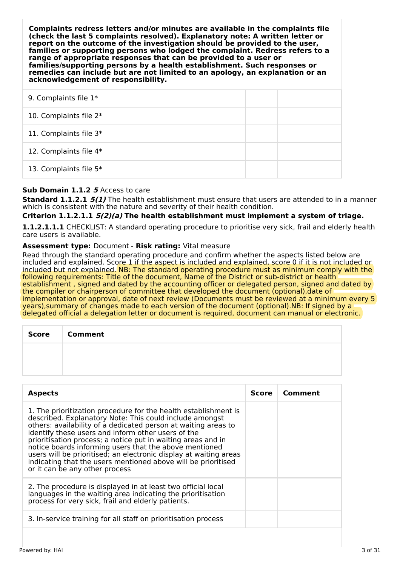**Complaints redress letters and/or minutes are available in the complaints file (check the last 5 complaints resolved). Explanatory note: A written letter or report on the outcome of the investigation should be provided to the user, families or supporting persons who lodged the complaint. Redress refers to a range of appropriate responses that can be provided to a user or families/supporting persons by a health establishment. Such responses or remedies can include but are not limited to an apology, an explanation or an acknowledgement of responsibility.**

| 9. Complaints file 1*  |  |
|------------------------|--|
| 10. Complaints file 2* |  |
| 11. Complaints file 3* |  |
| 12. Complaints file 4* |  |
| 13. Complaints file 5* |  |

# **Sub Domain 1.1.2 5** Access to care

**Standard 1.1.2.1 5(1)** The health establishment must ensure that users are attended to in a manner which is consistent with the nature and severity of their health condition.

**Criterion 1.1.2.1.1 5(2)(a) The health establishment must implement a system of triage.**

**1.1.2.1.1.1** CHECKLIST: A standard operating procedure to prioritise very sick, frail and elderly health care users is available.

# **Assessment type:** Document - **Risk rating:** Vital measure

Read through the standard operating procedure and confirm whether the aspects listed below are included and explained. Score 1 if the aspect is included and explained, score 0 if it is not included or included but not explained. NB: The standard operating procedure must as minimum comply with the following requirements: Title of the document, Name of the District or sub-district or health establishment , signed and dated by the accounting officer or delegated person, signed and dated by the compiler or chairperson of committee that developed the document (optional),date of implementation or approval, date of next review (Documents must be reviewed at a minimum every 5 years),summary of changes made to each version of the document (optional).NB: If signed by a delegated official a delegation letter or document is required, document can manual or electronic.

| <b>Score</b> | <b>Comment</b> |
|--------------|----------------|
|              |                |
|              |                |

| <b>Aspects</b>                                                                                                                                                                                                                                                                                                                                                                                                                                                                                                                                       | Score | Comment |
|------------------------------------------------------------------------------------------------------------------------------------------------------------------------------------------------------------------------------------------------------------------------------------------------------------------------------------------------------------------------------------------------------------------------------------------------------------------------------------------------------------------------------------------------------|-------|---------|
| 1. The prioritization procedure for the health establishment is<br>described. Explanatory Note: This could include amongst<br>others: availability of a dedicated person at waiting areas to<br>identify these users and inform other users of the<br>prioritisation process; a notice put in waiting areas and in<br>notice boards informing users that the above mentioned<br>users will be prioritised; an electronic display at waiting areas<br>indicating that the users mentioned above will be prioritised<br>or it can be any other process |       |         |
| 2. The procedure is displayed in at least two official local<br>languages in the waiting area indicating the prioritisation<br>process for very sick, frail and elderly patients.                                                                                                                                                                                                                                                                                                                                                                    |       |         |
| 3. In-service training for all staff on prioritisation process                                                                                                                                                                                                                                                                                                                                                                                                                                                                                       |       |         |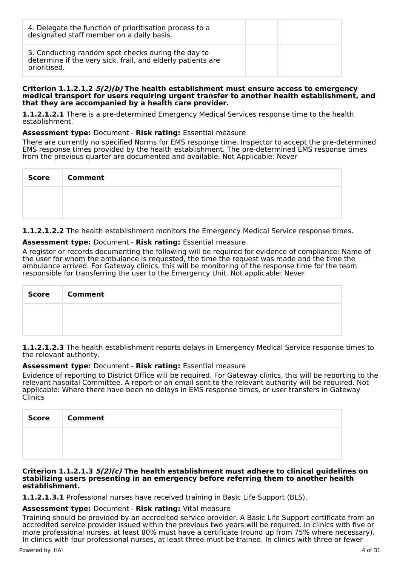| 4. Delegate the function of prioritisation process to a<br>designated staff member on a daily basis                               |  |
|-----------------------------------------------------------------------------------------------------------------------------------|--|
| 5. Conducting random spot checks during the day to<br>determine if the very sick, frail, and elderly patients are<br>prioritised. |  |

#### **Criterion 1.1.2.1.2 5(2)(b) The health establishment must ensure access to emergency medical transport for users requiring urgent transfer to another health establishment, and that they are accompanied by a health care provider.**

**1.1.2.1.2.1** There is a pre-determined Emergency Medical Services response time to the health establishment.

#### **Assessment type:** Document - **Risk rating:** Essential measure

There are currently no specified Norms for EMS response time. Inspector to accept the pre-determined EMS response times provided by the health establishment. The pre-determined EMS response times from the previous quarter are documented and available. Not Applicable: Never

| <b>Score</b> | <b>Comment</b> |
|--------------|----------------|
|              |                |
|              |                |

**1.1.2.1.2.2** The health establishment monitors the Emergency Medical Service response times.

#### **Assessment type:** Document - **Risk rating:** Essential measure

A register or records documenting the following will be required for evidence of compliance: Name of the user for whom the ambulance is requested, the time the request was made and the time the ambulance arrived. For Gateway clinics, this will be monitoring of the response time for the team responsible for transferring the user to the Emergency Unit. Not applicable: Never

| Score   Comment |
|-----------------|
|                 |
|                 |

**1.1.2.1.2.3** The health establishment reports delays in Emergency Medical Service response times to the relevant authority.

#### **Assessment type:** Document - **Risk rating:** Essential measure

Evidence of reporting to District Office will be required. For Gateway clinics, this will be reporting to the relevant hospital Committee. A report or an email sent to the relevant authority will be required. Not applicable: Where there have been no delays in EMS response times, or user transfers in Gateway **Clinics** 

| Score   Comment |
|-----------------|
|                 |
|                 |

#### **Criterion 1.1.2.1.3 5(2)(c) The health establishment must adhere to clinical guidelines on stabilizing users presenting in an emergency before referring them to another health establishment.**

**1.1.2.1.3.1** Professional nurses have received training in Basic Life Support (BLS).

#### **Assessment type:** Document - **Risk rating:** Vital measure

Training should be provided by an accredited service provider. A Basic Life Support certificate from an accredited service provider issued within the previous two years will be required. In clinics with five or more professional nurses, at least 80% must have a certificate (round up from 75% where necessary). In clinics with four professional nurses, at least three must be trained. In clinics with three or fewer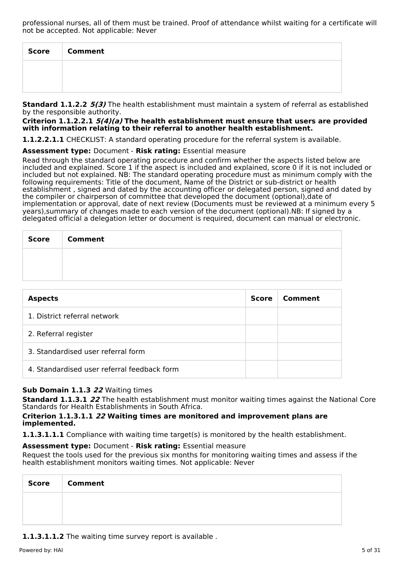professional nurses, all of them must be trained. Proof of attendance whilst waiting for a certificate will not be accepted. Not applicable: Never

| Score | <b>Comment</b> |
|-------|----------------|
|       |                |
|       |                |

**Standard 1.1.2.2 5(3)** The health establishment must maintain a system of referral as established by the responsible authority.

**Criterion 1.1.2.2.1 5(4)(a) The health establishment must ensure that users are provided with information relating to their referral to another health establishment.**

**1.1.2.2.1.1** CHECKLIST: A standard operating procedure for the referral system is available.

#### **Assessment type:** Document - **Risk rating:** Essential measure

Read through the standard operating procedure and confirm whether the aspects listed below are included and explained. Score 1 if the aspect is included and explained, score 0 if it is not included or included but not explained. NB: The standard operating procedure must as minimum comply with the following requirements: Title of the document, Name of the District or sub-district or health establishment , signed and dated by the accounting officer or delegated person, signed and dated by the compiler or chairperson of committee that developed the document (optional),date of implementation or approval, date of next review (Documents must be reviewed at a minimum every 5 years),summary of changes made to each version of the document (optional).NB: If signed by a delegated official a delegation letter or document is required, document can manual or electronic.

| <b>Score</b> | <b>Comment</b> |
|--------------|----------------|
|              |                |
|              |                |

| <b>Aspects</b>                              | Score | Comment |
|---------------------------------------------|-------|---------|
| 1. District referral network                |       |         |
| 2. Referral register                        |       |         |
| 3. Standardised user referral form          |       |         |
| 4. Standardised user referral feedback form |       |         |

# **Sub Domain 1.1.3 22** Waiting times

**Standard 1.1.3.1 22** The health establishment must monitor waiting times against the National Core Standards for Health Establishments in South Africa.

#### **Criterion 1.1.3.1.1 22 Waiting times are monitored and improvement plans are implemented.**

**1.1.3.1.1.1** Compliance with waiting time target(s) is monitored by the health establishment.

#### **Assessment type:** Document - **Risk rating:** Essential measure

Request the tools used for the previous six months for monitoring waiting times and assess if the health establishment monitors waiting times. Not applicable: Never

| <b>Score</b> | <b>Comment</b> |
|--------------|----------------|
|              |                |
|              |                |

**1.1.3.1.1.2** The waiting time survey report is available .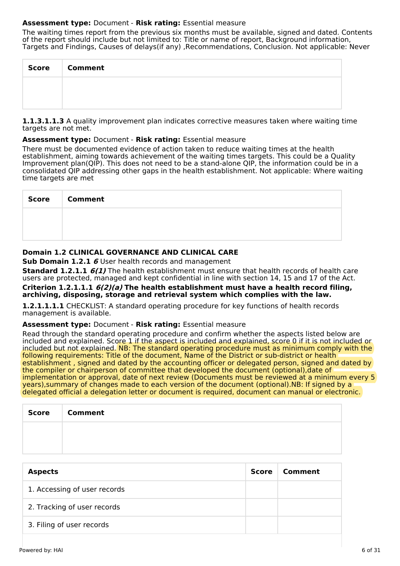# **Assessment type:** Document - **Risk rating:** Essential measure

The waiting times report from the previous six months must be available, signed and dated. Contents of the report should include but not limited to: Title or name of report, Background information, Targets and Findings, Causes of delays(if any) ,Recommendations, Conclusion. Not applicable: Never

| <b>Score</b> | <b>Comment</b> |
|--------------|----------------|
|              |                |
|              |                |

**1.1.3.1.1.3** A quality improvement plan indicates corrective measures taken where waiting time targets are not met.

#### **Assessment type:** Document - **Risk rating:** Essential measure

There must be documented evidence of action taken to reduce waiting times at the health establishment, aiming towards achievement of the waiting times targets. This could be a Quality Improvement plan(QIP). This does not need to be a stand-alone QIP, the information could be in a consolidated QIP addressing other gaps in the health establishment. Not applicable: Where waiting time targets are met

| <b>Score</b> | <b>Comment</b> |
|--------------|----------------|
|              |                |
|              |                |

# **Domain 1.2 CLINICAL GOVERNANCE AND CLINICAL CARE**

**Sub Domain 1.2.1 6** User health records and management

**Standard 1.2.1.1 6(1)** The health establishment must ensure that health records of health care users are protected, managed and kept confidential in line with section 14, 15 and 17 of the Act. **Criterion 1.2.1.1.1 6(2)(a) The health establishment must have a health record filing, archiving, disposing, storage and retrieval system which complies with the law.**

**1.2.1.1.1.1** CHECKLIST: A standard operating procedure for key functions of health records management is available.

#### **Assessment type:** Document - **Risk rating:** Essential measure

Read through the standard operating procedure and confirm whether the aspects listed below are included and explained. Score 1 if the aspect is included and explained, score 0 if it is not included or included but not explained. NB: The standard operating procedure must as minimum comply with the following requirements: Title of the document, Name of the District or sub-district or health establishment , signed and dated by the accounting officer or delegated person, signed and dated by the compiler or chairperson of committee that developed the document (optional),date of implementation or approval, date of next review (Documents must be reviewed at a minimum every 5 years),summary of changes made to each version of the document (optional).NB: If signed by a delegated official a delegation letter or document is required, document can manual or electronic.

| Score | <b>Comment</b> |
|-------|----------------|
|       |                |
|       |                |

| <b>Aspects</b>               | <b>Score</b> | Comment |
|------------------------------|--------------|---------|
| 1. Accessing of user records |              |         |
| 2. Tracking of user records  |              |         |
| 3. Filing of user records    |              |         |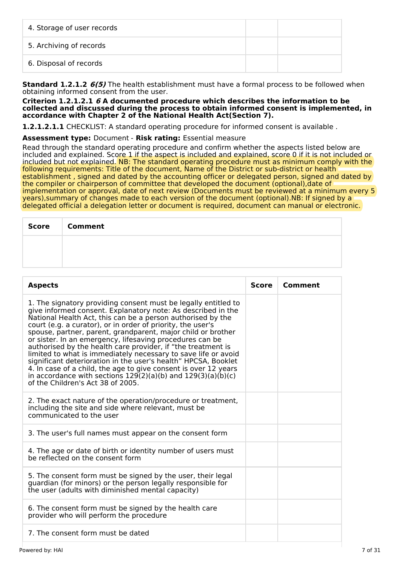| 4. Storage of user records |  |
|----------------------------|--|
| 5. Archiving of records    |  |
| 6. Disposal of records     |  |

**Standard 1.2.1.2 6(5)** The health establishment must have a formal process to be followed when obtaining informed consent from the user.

**Criterion 1.2.1.2.1 6 A documented procedure which describes the information to be collected and discussed during the process to obtain informed consent is implemented, in accordance with Chapter 2 of the National Health Act(Section 7).**

**1.2.1.2.1.1** CHECKLIST: A standard operating procedure for informed consent is available .

#### **Assessment type:** Document - **Risk rating:** Essential measure

Read through the standard operating procedure and confirm whether the aspects listed below are included and explained. Score 1 if the aspect is included and explained, score 0 if it is not included or included but not explained. NB: The standard operating procedure must as minimum comply with the following requirements: Title of the document, Name of the District or sub-district or health establishment, signed and dated by the accounting officer or delegated person, signed and dated by the compiler or chairperson of committee that developed the document (optional),date of implementation or approval, date of next review (Documents must be reviewed at a minimum every 5 years),summary of changes made to each version of the document (optional).NB: If signed by a delegated official a delegation letter or document is required, document can manual or electronic.

| Score   Comment |
|-----------------|
|                 |
|                 |

| <b>Aspects</b>                                                                                                                                                                                                                                                                                                                                                                                                                                                                                                                                                                                                                                                                                                                                                           | <b>Score</b> | Comment |
|--------------------------------------------------------------------------------------------------------------------------------------------------------------------------------------------------------------------------------------------------------------------------------------------------------------------------------------------------------------------------------------------------------------------------------------------------------------------------------------------------------------------------------------------------------------------------------------------------------------------------------------------------------------------------------------------------------------------------------------------------------------------------|--------------|---------|
| 1. The signatory providing consent must be legally entitled to<br>give informed consent. Explanatory note: As described in the<br>National Health Act, this can be a person authorised by the<br>court (e.g. a curator), or in order of priority, the user's<br>spouse, partner, parent, grandparent, major child or brother<br>or sister. In an emergency, lifesaving procedures can be<br>authorised by the health care provider, if "the treatment is<br>limited to what is immediately necessary to save life or avoid<br>significant deterioration in the user's health" HPCSA, Booklet<br>4. In case of a child, the age to give consent is over 12 years<br>in accordance with sections $129(2)(a)(b)$ and $129(3)(a)(b)(c)$<br>of the Children's Act 38 of 2005. |              |         |
| 2. The exact nature of the operation/procedure or treatment,<br>including the site and side where relevant, must be<br>communicated to the user                                                                                                                                                                                                                                                                                                                                                                                                                                                                                                                                                                                                                          |              |         |
| 3. The user's full names must appear on the consent form                                                                                                                                                                                                                                                                                                                                                                                                                                                                                                                                                                                                                                                                                                                 |              |         |
| 4. The age or date of birth or identity number of users must<br>be reflected on the consent form                                                                                                                                                                                                                                                                                                                                                                                                                                                                                                                                                                                                                                                                         |              |         |
| 5. The consent form must be signed by the user, their legal<br>guardian (for minors) or the person legally responsible for<br>the user (adults with diminished mental capacity)                                                                                                                                                                                                                                                                                                                                                                                                                                                                                                                                                                                          |              |         |
| 6. The consent form must be signed by the health care<br>provider who will perform the procedure                                                                                                                                                                                                                                                                                                                                                                                                                                                                                                                                                                                                                                                                         |              |         |
| 7. The consent form must be dated                                                                                                                                                                                                                                                                                                                                                                                                                                                                                                                                                                                                                                                                                                                                        |              |         |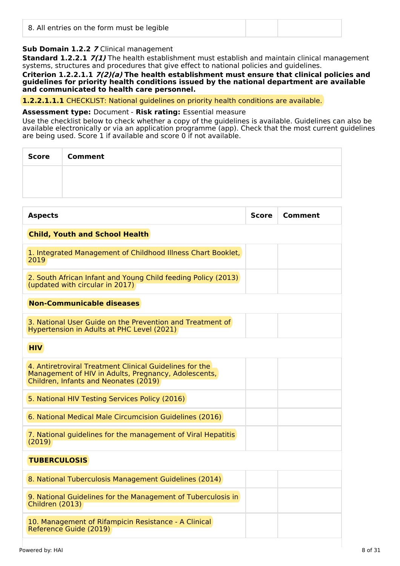| 8. All entries on the form must be legible |  |  |
|--------------------------------------------|--|--|
|--------------------------------------------|--|--|

# **Sub Domain 1.2.2 7** Clinical management

**Standard 1.2.2.1 7(1)** The health establishment must establish and maintain clinical management systems, structures and procedures that give effect to national policies and guidelines.

#### **Criterion 1.2.2.1.1 7(2)(a) The health establishment must ensure that clinical policies and guidelines for priority health conditions issued by the national department are available and communicated to health care personnel.**

**1.2.2.1.1.1** CHECKLIST: National guidelines on priority health conditions are available.

#### **Assessment type:** Document - **Risk rating:** Essential measure

Use the checklist below to check whether a copy of the guidelines is available. Guidelines can also be available electronically or via an application programme (app). Check that the most current guidelines are being used. Score 1 if available and score 0 if not available.

| Score Comment |
|---------------|
|               |
|               |

| <b>Aspects</b>                                                                                                                                           | Score | Comment |  |
|----------------------------------------------------------------------------------------------------------------------------------------------------------|-------|---------|--|
| <b>Child, Youth and School Health</b>                                                                                                                    |       |         |  |
| 1. Integrated Management of Childhood Illness Chart Booklet,<br>2019                                                                                     |       |         |  |
| 2. South African Infant and Young Child feeding Policy (2013)<br>(updated with circular in 2017)                                                         |       |         |  |
| <b>Non-Communicable diseases</b>                                                                                                                         |       |         |  |
| 3. National User Guide on the Prevention and Treatment of<br>Hypertension in Adults at PHC Level (2021)                                                  |       |         |  |
| <b>HIV</b>                                                                                                                                               |       |         |  |
| 4. Antiretroviral Treatment Clinical Guidelines for the<br>Management of HIV in Adults, Pregnancy, Adolescents,<br>Children, Infants and Neonates (2019) |       |         |  |
| 5. National HIV Testing Services Policy (2016)                                                                                                           |       |         |  |
| 6. National Medical Male Circumcision Guidelines (2016)                                                                                                  |       |         |  |
| 7. National guidelines for the management of Viral Hepatitis<br>(2019)                                                                                   |       |         |  |
| <b>TUBERCULOSIS</b>                                                                                                                                      |       |         |  |
| 8. National Tuberculosis Management Guidelines (2014)                                                                                                    |       |         |  |
| 9. National Guidelines for the Management of Tuberculosis in<br>Children (2013)                                                                          |       |         |  |
| 10. Management of Rifampicin Resistance - A Clinical<br>Reference Guide (2019)                                                                           |       |         |  |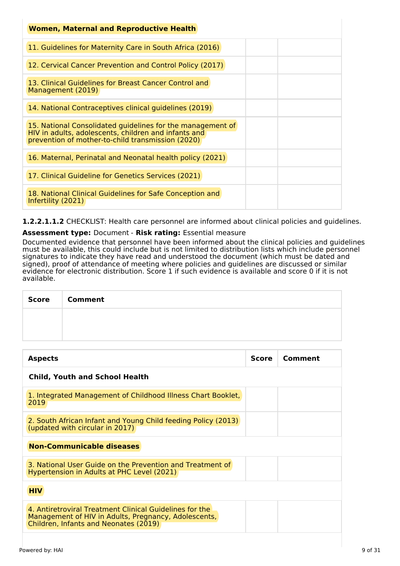| <b>Women, Maternal and Reproductive Health</b>                                                                                                                          |
|-------------------------------------------------------------------------------------------------------------------------------------------------------------------------|
| 11. Guidelines for Maternity Care in South Africa (2016)                                                                                                                |
| 12. Cervical Cancer Prevention and Control Policy (2017)                                                                                                                |
| 13. Clinical Guidelines for Breast Cancer Control and<br>Management (2019)                                                                                              |
| 14. National Contraceptives clinical guidelines (2019)                                                                                                                  |
| 15. National Consolidated guidelines for the management of<br>HIV in adults, adolescents, children and infants and<br>prevention of mother-to-child transmission (2020) |
| 16. Maternal, Perinatal and Neonatal health policy (2021)                                                                                                               |
| 17. Clinical Guideline for Genetics Services (2021)                                                                                                                     |
| 18. National Clinical Guidelines for Safe Conception and<br>Infertility (2021)                                                                                          |

**1.2.2.1.1.2** CHECKLIST: Health care personnel are informed about clinical policies and guidelines.

# **Assessment type:** Document - **Risk rating:** Essential measure

Documented evidence that personnel have been informed about the clinical policies and guidelines must be available, this could include but is not limited to distribution lists which include personnel signatures to indicate they have read and understood the document (which must be dated and signed), proof of attendance of meeting where policies and guidelines are discussed or similar evidence for electronic distribution. Score 1 if such evidence is available and score 0 if it is not available.

| Score | <b>Comment</b> |
|-------|----------------|
|       |                |
|       |                |

| <b>Aspects</b>                                                                                                                                           | <b>Score</b> | Comment |  |
|----------------------------------------------------------------------------------------------------------------------------------------------------------|--------------|---------|--|
| <b>Child, Youth and School Health</b>                                                                                                                    |              |         |  |
| 1. Integrated Management of Childhood Illness Chart Booklet,<br>2019                                                                                     |              |         |  |
| 2. South African Infant and Young Child feeding Policy (2013)<br>(updated with circular in 2017)                                                         |              |         |  |
| <b>Non-Communicable diseases</b>                                                                                                                         |              |         |  |
| 3. National User Guide on the Prevention and Treatment of<br>Hypertension in Adults at PHC Level (2021)                                                  |              |         |  |
| <b>HIV</b>                                                                                                                                               |              |         |  |
| 4. Antiretroviral Treatment Clinical Guidelines for the<br>Management of HIV in Adults, Pregnancy, Adolescents,<br>Children, Infants and Neonates (2019) |              |         |  |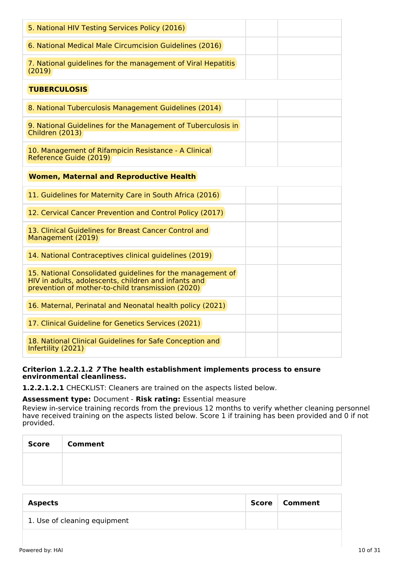| 5. National HIV Testing Services Policy (2016)                                                                                                                          |
|-------------------------------------------------------------------------------------------------------------------------------------------------------------------------|
| 6. National Medical Male Circumcision Guidelines (2016)                                                                                                                 |
| 7. National guidelines for the management of Viral Hepatitis<br>(2019)                                                                                                  |
| <b>TUBERCULOSIS</b>                                                                                                                                                     |
| 8. National Tuberculosis Management Guidelines (2014)                                                                                                                   |
| 9. National Guidelines for the Management of Tuberculosis in<br>Children (2013)                                                                                         |
| 10. Management of Rifampicin Resistance - A Clinical<br>Reference Guide (2019)                                                                                          |
| <b>Women, Maternal and Reproductive Health</b>                                                                                                                          |
| 11. Guidelines for Maternity Care in South Africa (2016)                                                                                                                |
| 12. Cervical Cancer Prevention and Control Policy (2017)                                                                                                                |
| 13. Clinical Guidelines for Breast Cancer Control and<br>Management (2019)                                                                                              |
| 14. National Contraceptives clinical guidelines (2019)                                                                                                                  |
| 15. National Consolidated guidelines for the management of<br>HIV in adults, adolescents, children and infants and<br>prevention of mother-to-child transmission (2020) |
| 16. Maternal, Perinatal and Neonatal health policy (2021)                                                                                                               |
| 17. Clinical Guideline for Genetics Services (2021)                                                                                                                     |
| 18. National Clinical Guidelines for Safe Conception and<br>Infertility (2021)                                                                                          |

#### **Criterion 1.2.2.1.2 7 The health establishment implements process to ensure environmental cleanliness.**

**1.2.2.1.2.1** CHECKLIST: Cleaners are trained on the aspects listed below.

# **Assessment type:** Document - **Risk rating:** Essential measure

Review in-service training records from the previous 12 months to verify whether cleaning personnel have received training on the aspects listed below. Score 1 if training has been provided and 0 if not provided.

| Score   Comment |
|-----------------|
|                 |
|                 |

| <b>Aspects</b>               | Score   Comment |
|------------------------------|-----------------|
| 1. Use of cleaning equipment |                 |
|                              |                 |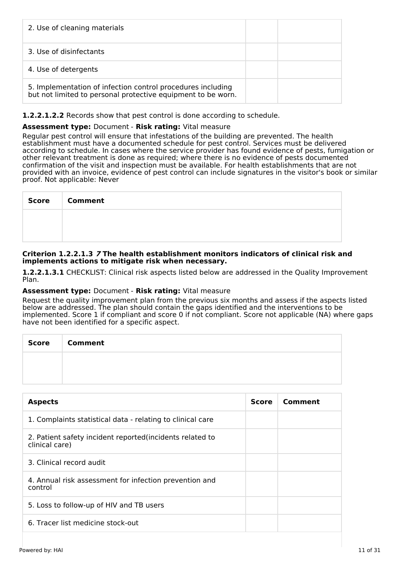| 2. Use of cleaning materials                                                                                                |  |
|-----------------------------------------------------------------------------------------------------------------------------|--|
| 3. Use of disinfectants                                                                                                     |  |
| 4. Use of detergents                                                                                                        |  |
| 5. Implementation of infection control procedures including<br>but not limited to personal protective equipment to be worn. |  |

# **1.2.2.1.2.2** Records show that pest control is done according to schedule.

#### **Assessment type:** Document - **Risk rating:** Vital measure

Regular pest control will ensure that infestations of the building are prevented. The health establishment must have a documented schedule for pest control. Services must be delivered according to schedule. In cases where the service provider has found evidence of pests, fumigation or other relevant treatment is done as required; where there is no evidence of pests documented confirmation of the visit and inspection must be available. For health establishments that are not provided with an invoice, evidence of pest control can include signatures in the visitor's book or similar proof. Not applicable: Never

| Score   Comment |
|-----------------|
|                 |
|                 |

#### **Criterion 1.2.2.1.3 7 The health establishment monitors indicators of clinical risk and implements actions to mitigate risk when necessary.**

**1.2.2.1.3.1** CHECKLIST: Clinical risk aspects listed below are addressed in the Quality Improvement Plan.

#### **Assessment type:** Document - **Risk rating:** Vital measure

Request the quality improvement plan from the previous six months and assess if the aspects listed below are addressed. The plan should contain the gaps identified and the interventions to be implemented. Score 1 if compliant and score 0 if not compliant. Score not applicable (NA) where gaps have not been identified for a specific aspect.

| Score   Comment |
|-----------------|
|                 |
|                 |

| <b>Aspects</b>                                                              | <b>Score</b> | Comment |
|-----------------------------------------------------------------------------|--------------|---------|
| 1. Complaints statistical data - relating to clinical care                  |              |         |
| 2. Patient safety incident reported (incidents related to<br>clinical care) |              |         |
| 3. Clinical record audit                                                    |              |         |
| 4. Annual risk assessment for infection prevention and<br>control           |              |         |
| 5. Loss to follow-up of HIV and TB users                                    |              |         |
| 6. Tracer list medicine stock-out                                           |              |         |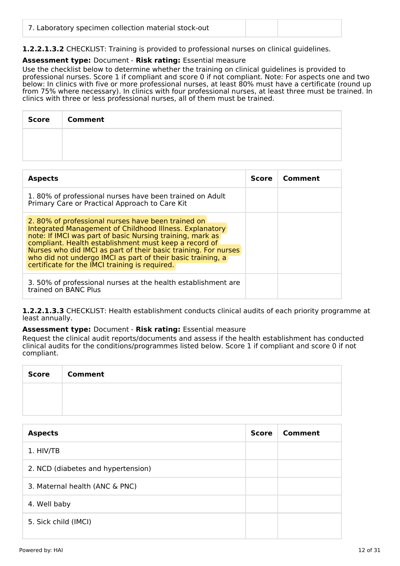|--|

**1.2.2.1.3.2** CHECKLIST: Training is provided to professional nurses on clinical guidelines.

# **Assessment type:** Document - **Risk rating:** Essential measure

Use the checklist below to determine whether the training on clinical guidelines is provided to professional nurses. Score 1 if compliant and score 0 if not compliant. Note: For aspects one and two below: In clinics with five or more professional nurses, at least 80% must have a certificate (round up from 75% where necessary). In clinics with four professional nurses, at least three must be trained. In clinics with three or less professional nurses, all of them must be trained.

| Score   Comment |
|-----------------|
|                 |
|                 |

| <b>Aspects</b>                                                                                                                                                                                                                                                                                                                                                                                                         | <b>Score</b> | Comment |
|------------------------------------------------------------------------------------------------------------------------------------------------------------------------------------------------------------------------------------------------------------------------------------------------------------------------------------------------------------------------------------------------------------------------|--------------|---------|
| 1.80% of professional nurses have been trained on Adult<br>Primary Care or Practical Approach to Care Kit                                                                                                                                                                                                                                                                                                              |              |         |
| 2.80% of professional nurses have been trained on<br>Integrated Management of Childhood Illness. Explanatory<br>note: If IMCI was part of basic Nursing training, mark as<br>compliant. Health establishment must keep a record of<br>Nurses who did IMCI as part of their basic training. For nurses<br>who did not undergo IMCI as part of their basic training, a<br>certificate for the IMCI training is required. |              |         |
| 3.50% of professional nurses at the health establishment are<br>trained on BANC Plus                                                                                                                                                                                                                                                                                                                                   |              |         |

**1.2.2.1.3.3** CHECKLIST: Health establishment conducts clinical audits of each priority programme at least annually.

#### **Assessment type:** Document - **Risk rating:** Essential measure

Request the clinical audit reports/documents and assess if the health establishment has conducted clinical audits for the conditions/programmes listed below. Score 1 if compliant and score 0 if not compliant.

| Score | <b>Comment</b> |
|-------|----------------|
|       |                |
|       |                |

| <b>Aspects</b>                     | <b>Score</b> | Comment |
|------------------------------------|--------------|---------|
| 1. HIV/TB                          |              |         |
| 2. NCD (diabetes and hypertension) |              |         |
| 3. Maternal health (ANC & PNC)     |              |         |
| 4. Well baby                       |              |         |
| 5. Sick child (IMCI)               |              |         |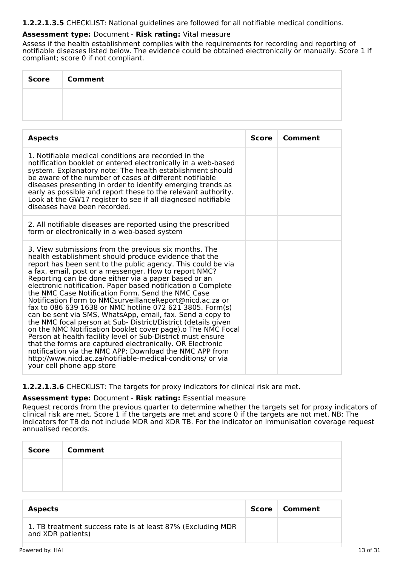# **1.2.2.1.3.5** CHECKLIST: National guidelines are followed for all notifiable medical conditions.

# **Assessment type:** Document - **Risk rating:** Vital measure

Assess if the health establishment complies with the requirements for recording and reporting of notifiable diseases listed below. The evidence could be obtained electronically or manually. Score 1 if compliant; score 0 if not compliant.

| Score | <b>Comment</b> |
|-------|----------------|
|       |                |
|       |                |

| <b>Aspects</b>                                                                                                                                                                                                                                                                                                                                                                                                                                                                                                                                                                                                                                                                                                                                                                                                                                                                                                                                                                                                              | <b>Score</b> | Comment |
|-----------------------------------------------------------------------------------------------------------------------------------------------------------------------------------------------------------------------------------------------------------------------------------------------------------------------------------------------------------------------------------------------------------------------------------------------------------------------------------------------------------------------------------------------------------------------------------------------------------------------------------------------------------------------------------------------------------------------------------------------------------------------------------------------------------------------------------------------------------------------------------------------------------------------------------------------------------------------------------------------------------------------------|--------------|---------|
| 1. Notifiable medical conditions are recorded in the<br>notification booklet or entered electronically in a web-based<br>system. Explanatory note: The health establishment should<br>be aware of the number of cases of different notifiable<br>diseases presenting in order to identify emerging trends as<br>early as possible and report these to the relevant authority.<br>Look at the GW17 register to see if all diagnosed notifiable<br>diseases have been recorded.                                                                                                                                                                                                                                                                                                                                                                                                                                                                                                                                               |              |         |
| 2. All notifiable diseases are reported using the prescribed<br>form or electronically in a web-based system                                                                                                                                                                                                                                                                                                                                                                                                                                                                                                                                                                                                                                                                                                                                                                                                                                                                                                                |              |         |
| 3. View submissions from the previous six months. The<br>health establishment should produce evidence that the<br>report has been sent to the public agency. This could be via<br>a fax, email, post or a messenger. How to report NMC?<br>Reporting can be done either via a paper based or an<br>electronic notification. Paper based notification o Complete<br>the NMC Case Notification Form. Send the NMC Case<br>Notification Form to NMCsurveillanceReport@nicd.ac.za or<br>fax to 086 639 1638 or NMC hotline 072 621 3805. Form(s)<br>can be sent via SMS, WhatsApp, email, fax. Send a copy to<br>the NMC focal person at Sub-District/District (details given<br>on the NMC Notification booklet cover page) o The NMC Focal<br>Person at health facility level or Sub-District must ensure<br>that the forms are captured electronically. OR Electronic<br>notification via the NMC APP; Download the NMC APP from<br>http://www.nicd.ac.za/notifiable-medical-conditions/ or via<br>your cell phone app store |              |         |

**1.2.2.1.3.6** CHECKLIST: The targets for proxy indicators for clinical risk are met.

# **Assessment type:** Document - **Risk rating:** Essential measure

Request records from the previous quarter to determine whether the targets set for proxy indicators of clinical risk are met. Score 1 if the targets are met and score 0 if the targets are not met. NB: The indicators for TB do not include MDR and XDR TB. For the indicator on Immunisation coverage request annualised records.

| Score | <b>Comment</b> |
|-------|----------------|
|       |                |
|       |                |

| <b>Aspects</b>                                                                   | Score | ∣ Comment |
|----------------------------------------------------------------------------------|-------|-----------|
| 1. TB treatment success rate is at least 87% (Excluding MDR<br>and XDR patients) |       |           |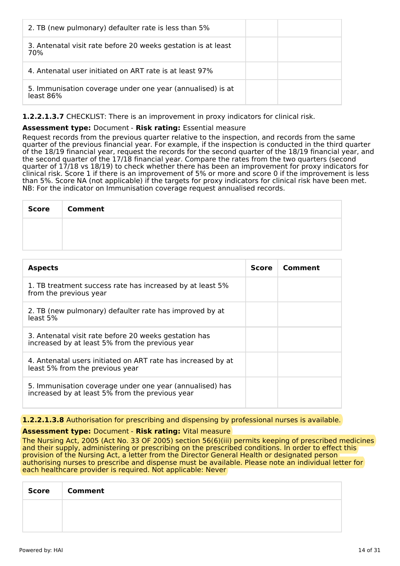| 2. TB (new pulmonary) defaulter rate is less than 5%                    |
|-------------------------------------------------------------------------|
| 3. Antenatal visit rate before 20 weeks gestation is at least<br>70%    |
| 4. Antenatal user initiated on ART rate is at least 97%                 |
| 5. Immunisation coverage under one year (annualised) is at<br>least 86% |

**1.2.2.1.3.7** CHECKLIST: There is an improvement in proxy indicators for clinical risk.

# **Assessment type:** Document - **Risk rating:** Essential measure

Request records from the previous quarter relative to the inspection, and records from the same quarter of the previous financial year. For example, if the inspection is conducted in the third quarter of the 18/19 financial year, request the records for the second quarter of the 18/19 financial year, and the second quarter of the 17/18 financial year. Compare the rates from the two quarters (second quarter of 17/18 vs 18/19) to check whether there has been an improvement for proxy indicators for clinical risk. Score 1 if there is an improvement of 5% or more and score 0 if the improvement is less than 5%. Score NA (not applicable) if the targets for proxy indicators for clinical risk have been met. NB: For the indicator on Immunisation coverage request annualised records.

| <b>Score</b> | <b>Comment</b> |
|--------------|----------------|
|              |                |
|              |                |

| <b>Aspects</b>                                                                                              | <b>Score</b> | Comment |
|-------------------------------------------------------------------------------------------------------------|--------------|---------|
| 1. TB treatment success rate has increased by at least 5%<br>from the previous year                         |              |         |
| 2. TB (new pulmonary) defaulter rate has improved by at<br>least 5%                                         |              |         |
| 3. Antenatal visit rate before 20 weeks gestation has<br>increased by at least 5% from the previous year    |              |         |
| 4. Antenatal users initiated on ART rate has increased by at<br>least 5% from the previous year             |              |         |
| 5. Immunisation coverage under one year (annualised) has<br>increased by at least 5% from the previous year |              |         |

# **1.2.2.1.3.8** Authorisation for prescribing and dispensing by professional nurses is available.

#### **Assessment type:** Document - **Risk rating:** Vital measure

The Nursing Act, 2005 (Act No. 33 OF 2005) section 56(6)(iii) permits keeping of prescribed medicines and their supply, administering or prescribing on the prescribed conditions. In order to effect this provision of the Nursing Act, a letter from the Director General Health or designated person authorising nurses to prescribe and dispense must be available. Please note an individual letter for each healthcare provider is required. Not applicable: Never

| <b>Score</b> | <b>Comment</b> |
|--------------|----------------|
|              |                |
|              |                |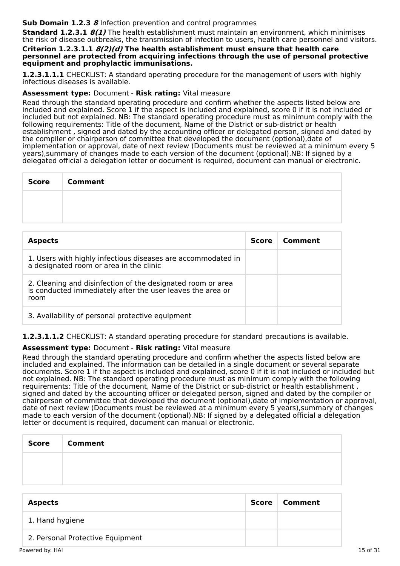# **Sub Domain 1.2.3 8** Infection prevention and control programmes

**Standard 1.2.3.1 8(1)** The health establishment must maintain an environment, which minimises the risk of disease outbreaks, the transmission of infection to users, health care personnel and visitors. **Criterion 1.2.3.1.1 8(2)(d) The health establishment must ensure that health care personnel are protected from acquiring infections through the use of personal protective equipment and prophylactic immunisations.**

**1.2.3.1.1.1** CHECKLIST: A standard operating procedure for the management of users with highly infectious diseases is available.

# **Assessment type:** Document - **Risk rating:** Vital measure

Read through the standard operating procedure and confirm whether the aspects listed below are included and explained. Score 1 if the aspect is included and explained, score 0 if it is not included or included but not explained. NB: The standard operating procedure must as minimum comply with the following requirements: Title of the document, Name of the District or sub-district or health establishment , signed and dated by the accounting officer or delegated person, signed and dated by the compiler or chairperson of committee that developed the document (optional),date of implementation or approval, date of next review (Documents must be reviewed at a minimum every 5 years),summary of changes made to each version of the document (optional).NB: If signed by a delegated official a delegation letter or document is required, document can manual or electronic.

| Score Comment |
|---------------|
|               |
|               |

| <b>Aspects</b>                                                                                                                    | <b>Score</b> | Comment |
|-----------------------------------------------------------------------------------------------------------------------------------|--------------|---------|
| 1. Users with highly infectious diseases are accommodated in<br>a designated room or area in the clinic                           |              |         |
| 2. Cleaning and disinfection of the designated room or area<br>is conducted immediately after the user leaves the area or<br>room |              |         |
| 3. Availability of personal protective equipment                                                                                  |              |         |

**1.2.3.1.1.2** CHECKLIST: A standard operating procedure for standard precautions is available.

# **Assessment type:** Document - **Risk rating:** Vital measure

Read through the standard operating procedure and confirm whether the aspects listed below are included and explained. The information can be detailed in a single document or several separate documents. Score 1 if the aspect is included and explained, score 0 if it is not included or included but not explained. NB: The standard operating procedure must as minimum comply with the following requirements: Title of the document, Name of the District or sub-district or health establishment , signed and dated by the accounting officer or delegated person, signed and dated by the compiler or chairperson of committee that developed the document (optional),date of implementation or approval, date of next review (Documents must be reviewed at a minimum every 5 years),summary of changes made to each version of the document (optional).NB: If signed by a delegated official a delegation letter or document is required, document can manual or electronic.

| <b>Score</b> | <b>Comment</b> |
|--------------|----------------|
|              |                |
|              |                |

| <b>Aspects</b>                   | <b>Score</b> | Comment |
|----------------------------------|--------------|---------|
| 1. Hand hygiene                  |              |         |
| 2. Personal Protective Equipment |              |         |
| Powered by: HAI                  |              |         |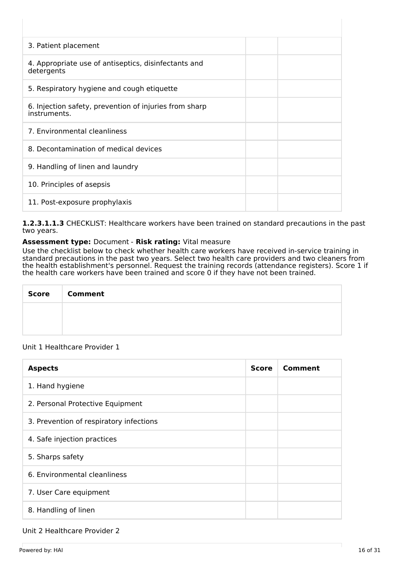| 3. Patient placement                                                   |  |
|------------------------------------------------------------------------|--|
| 4. Appropriate use of antiseptics, disinfectants and<br>detergents     |  |
| 5. Respiratory hygiene and cough etiquette                             |  |
| 6. Injection safety, prevention of injuries from sharp<br>instruments. |  |
| 7. Environmental cleanliness                                           |  |
| 8. Decontamination of medical devices                                  |  |
| 9. Handling of linen and laundry                                       |  |
| 10. Principles of asepsis                                              |  |
| 11. Post-exposure prophylaxis                                          |  |

**1.2.3.1.1.3** CHECKLIST: Healthcare workers have been trained on standard precautions in the past two years.

# **Assessment type:** Document - **Risk rating:** Vital measure

Use the checklist below to check whether health care workers have received in-service training in standard precautions in the past two years. Select two health care providers and two cleaners from the health establishment's personnel. Request the training records (attendance registers). Score 1 if the health care workers have been trained and score 0 if they have not been trained.

| Score | <b>Comment</b> |
|-------|----------------|
|       |                |
|       |                |

# Unit 1 Healthcare Provider 1

| <b>Aspects</b>                          | <b>Score</b> | Comment |
|-----------------------------------------|--------------|---------|
| 1. Hand hygiene                         |              |         |
| 2. Personal Protective Equipment        |              |         |
| 3. Prevention of respiratory infections |              |         |
| 4. Safe injection practices             |              |         |
| 5. Sharps safety                        |              |         |
| 6. Environmental cleanliness            |              |         |
| 7. User Care equipment                  |              |         |
| 8. Handling of linen                    |              |         |

#### Unit 2 Healthcare Provider 2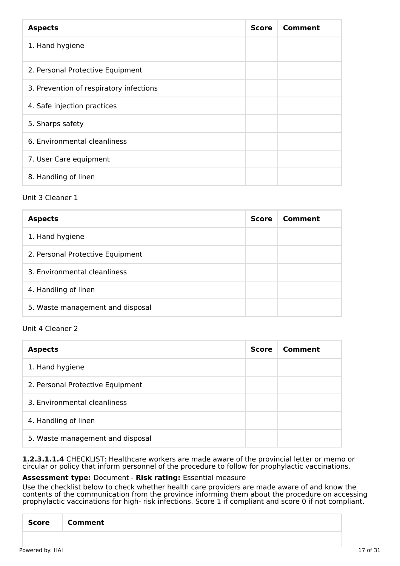| <b>Aspects</b>                          | <b>Score</b> | Comment |
|-----------------------------------------|--------------|---------|
| 1. Hand hygiene                         |              |         |
| 2. Personal Protective Equipment        |              |         |
| 3. Prevention of respiratory infections |              |         |
| 4. Safe injection practices             |              |         |
| 5. Sharps safety                        |              |         |
| 6. Environmental cleanliness            |              |         |
| 7. User Care equipment                  |              |         |
| 8. Handling of linen                    |              |         |

# Unit 3 Cleaner 1

| <b>Aspects</b>                   | Score | Comment |
|----------------------------------|-------|---------|
| 1. Hand hygiene                  |       |         |
| 2. Personal Protective Equipment |       |         |
| 3. Environmental cleanliness     |       |         |
| 4. Handling of linen             |       |         |
| 5. Waste management and disposal |       |         |

# Unit 4 Cleaner 2

| <b>Aspects</b>                   | <b>Score</b> | Comment |
|----------------------------------|--------------|---------|
| 1. Hand hygiene                  |              |         |
| 2. Personal Protective Equipment |              |         |
| 3. Environmental cleanliness     |              |         |
| 4. Handling of linen             |              |         |
| 5. Waste management and disposal |              |         |

**1.2.3.1.1.4** CHECKLIST: Healthcare workers are made aware of the provincial letter or memo or circular or policy that inform personnel of the procedure to follow for prophylactic vaccinations.

# **Assessment type:** Document - **Risk rating:** Essential measure

Use the checklist below to check whether health care providers are made aware of and know the contents of the communication from the province informing them about the procedure on accessing prophylactic vaccinations for high- risk infections. Score 1 if compliant and score 0 if not compliant.

|--|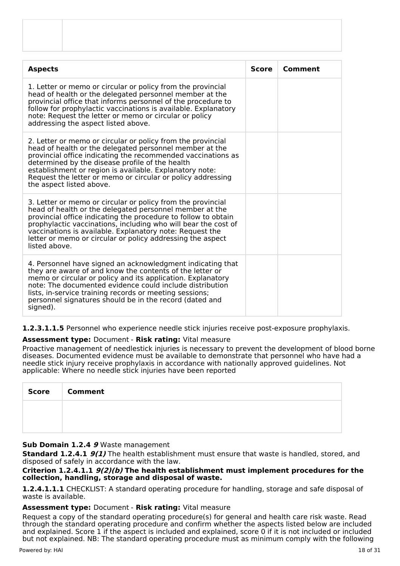| <b>Aspects</b>                                                                                                                                                                                                                                                                                                                                                                                        | <b>Score</b> | Comment |
|-------------------------------------------------------------------------------------------------------------------------------------------------------------------------------------------------------------------------------------------------------------------------------------------------------------------------------------------------------------------------------------------------------|--------------|---------|
| 1. Letter or memo or circular or policy from the provincial<br>head of health or the delegated personnel member at the<br>provincial office that informs personnel of the procedure to<br>follow for prophylactic vaccinations is available. Explanatory<br>note: Request the letter or memo or circular or policy<br>addressing the aspect listed above.                                             |              |         |
| 2. Letter or memo or circular or policy from the provincial<br>head of health or the delegated personnel member at the<br>provincial office indicating the recommended vaccinations as<br>determined by the disease profile of the health<br>establishment or region is available. Explanatory note:<br>Request the letter or memo or circular or policy addressing<br>the aspect listed above.       |              |         |
| 3. Letter or memo or circular or policy from the provincial<br>head of health or the delegated personnel member at the<br>provincial office indicating the procedure to follow to obtain<br>prophylactic vaccinations, including who will bear the cost of<br>vaccinations is available. Explanatory note: Request the<br>letter or memo or circular or policy addressing the aspect<br>listed above. |              |         |
| 4. Personnel have signed an acknowledgment indicating that<br>they are aware of and know the contents of the letter or<br>memo or circular or policy and its application. Explanatory<br>note: The documented evidence could include distribution<br>lists, in-service training records or meeting sessions;<br>personnel signatures should be in the record (dated and<br>signed).                   |              |         |

**1.2.3.1.1.5** Personnel who experience needle stick injuries receive post-exposure prophylaxis.

#### **Assessment type:** Document - **Risk rating:** Vital measure

Proactive management of needlestick injuries is necessary to prevent the development of blood borne diseases. Documented evidence must be available to demonstrate that personnel who have had a needle stick injury receive prophylaxis in accordance with nationally approved guidelines. Not applicable: Where no needle stick injuries have been reported

| Score   Comment |
|-----------------|
|                 |
|                 |

#### **Sub Domain 1.2.4 9** Waste management

**Standard 1.2.4.1 9(1)** The health establishment must ensure that waste is handled, stored, and disposed of safely in accordance with the law.

#### **Criterion 1.2.4.1.1 9(2)(b) The health establishment must implement procedures for the collection, handling, storage and disposal of waste.**

**1.2.4.1.1.1** CHECKLIST: A standard operating procedure for handling, storage and safe disposal of waste is available.

#### **Assessment type:** Document - **Risk rating:** Vital measure

Request a copy of the standard operating procedure(s) for general and health care risk waste. Read through the standard operating procedure and confirm whether the aspects listed below are included and explained. Score 1 if the aspect is included and explained, score 0 if it is not included or included but not explained. NB: The standard operating procedure must as minimum comply with the following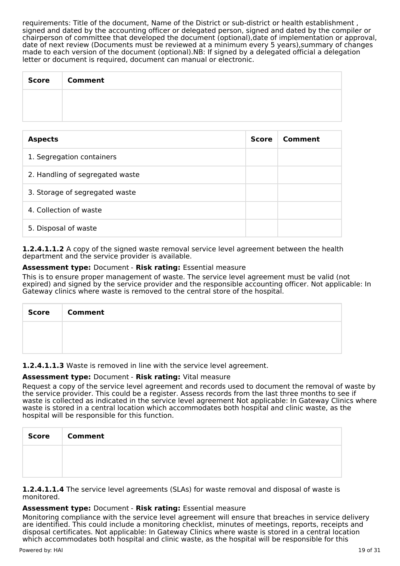requirements: Title of the document, Name of the District or sub-district or health establishment , signed and dated by the accounting officer or delegated person, signed and dated by the compiler or chairperson of committee that developed the document (optional),date of implementation or approval, date of next review (Documents must be reviewed at a minimum every 5 years),summary of changes made to each version of the document (optional).NB: If signed by a delegated official a delegation letter or document is required, document can manual or electronic.

| Score   Comment |
|-----------------|
|                 |
|                 |

| <b>Aspects</b>                  | <b>Score</b> | Comment |
|---------------------------------|--------------|---------|
| 1. Segregation containers       |              |         |
| 2. Handling of segregated waste |              |         |
| 3. Storage of segregated waste  |              |         |
| 4. Collection of waste          |              |         |
| 5. Disposal of waste            |              |         |

**1.2.4.1.1.2** A copy of the signed waste removal service level agreement between the health department and the service provider is available.

# **Assessment type:** Document - **Risk rating:** Essential measure

This is to ensure proper management of waste. The service level agreement must be valid (not expired) and signed by the service provider and the responsible accounting officer. Not applicable: In Gateway clinics where waste is removed to the central store of the hospital.

| <b>Score</b> | <b>Comment</b> |
|--------------|----------------|
|              |                |
|              |                |

**1.2.4.1.1.3** Waste is removed in line with the service level agreement.

# **Assessment type:** Document - **Risk rating:** Vital measure

Request a copy of the service level agreement and records used to document the removal of waste by the service provider. This could be a register. Assess records from the last three months to see if waste is collected as indicated in the service level agreement Not applicable: In Gateway Clinics where waste is stored in a central location which accommodates both hospital and clinic waste, as the hospital will be responsible for this function.

| Score   Comment |
|-----------------|
|                 |
|                 |

**1.2.4.1.1.4** The service level agreements (SLAs) for waste removal and disposal of waste is monitored.

#### **Assessment type:** Document - **Risk rating:** Essential measure

Monitoring compliance with the service level agreement will ensure that breaches in service delivery are identified. This could include a monitoring checklist, minutes of meetings, reports, receipts and disposal certificates. Not applicable: In Gateway Clinics where waste is stored in a central location which accommodates both hospital and clinic waste, as the hospital will be responsible for this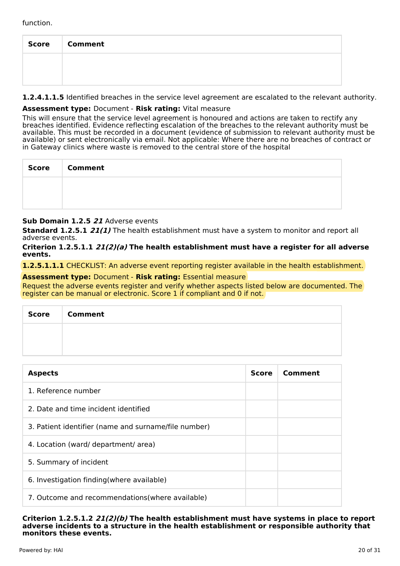function.

| Score | <b>Comment</b> |
|-------|----------------|
|       |                |
|       |                |

**1.2.4.1.1.5** Identified breaches in the service level agreement are escalated to the relevant authority.

# **Assessment type:** Document - **Risk rating:** Vital measure

This will ensure that the service level agreement is honoured and actions are taken to rectify any breaches identified. Evidence reflecting escalation of the breaches to the relevant authority must be available. This must be recorded in a document (evidence of submission to relevant authority must be available) or sent electronically via email. Not applicable: Where there are no breaches of contract or in Gateway clinics where waste is removed to the central store of the hospital

| <b>Score</b> | <b>Comment</b> |
|--------------|----------------|
|              |                |
|              |                |

# **Sub Domain 1.2.5 21** Adverse events

**Standard 1.2.5.1 21(1)** The health establishment must have a system to monitor and report all adverse events.

#### **Criterion 1.2.5.1.1 21(2)(a) The health establishment must have a register for all adverse events.**

**1.2.5.1.1.1** CHECKLIST: An adverse event reporting register available in the health establishment.

#### **Assessment type:** Document - **Risk rating:** Essential measure

Request the adverse events register and verify whether aspects listed below are documented. The register can be manual or electronic. Score 1 if compliant and 0 if not.

| <b>Score</b> | <b>Comment</b> |
|--------------|----------------|
|              |                |
|              |                |

| <b>Aspects</b>                                       | <b>Score</b> | Comment |
|------------------------------------------------------|--------------|---------|
| 1. Reference number                                  |              |         |
| 2. Date and time incident identified                 |              |         |
| 3. Patient identifier (name and surname/file number) |              |         |
| 4. Location (ward/department/area)                   |              |         |
| 5. Summary of incident                               |              |         |
| 6. Investigation finding (where available)           |              |         |
| 7. Outcome and recommendations (where available)     |              |         |

#### **Criterion 1.2.5.1.2 21(2)(b) The health establishment must have systems in place to report adverse incidents to a structure in the health establishment or responsible authority that monitors these events.**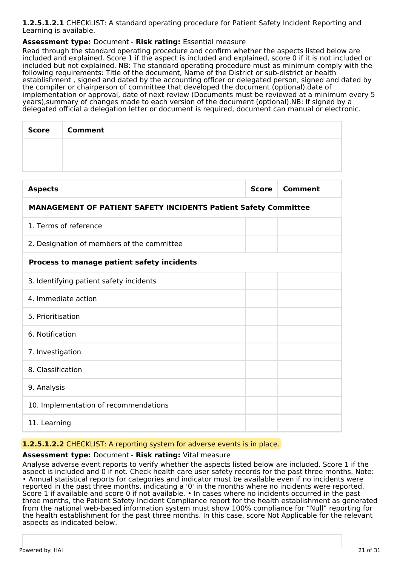#### **1.2.5.1.2.1** CHECKLIST: A standard operating procedure for Patient Safety Incident Reporting and Learning is available.

# **Assessment type:** Document - **Risk rating:** Essential measure

Read through the standard operating procedure and confirm whether the aspects listed below are included and explained. Score 1 if the aspect is included and explained, score 0 if it is not included or included but not explained. NB: The standard operating procedure must as minimum comply with the following requirements: Title of the document, Name of the District or sub-district or health establishment , signed and dated by the accounting officer or delegated person, signed and dated by the compiler or chairperson of committee that developed the document (optional),date of implementation or approval, date of next review (Documents must be reviewed at a minimum every 5 years),summary of changes made to each version of the document (optional).NB: If signed by a delegated official a delegation letter or document is required, document can manual or electronic.

| <b>Score</b>        | <b>Comment</b>                                                         |              |                |
|---------------------|------------------------------------------------------------------------|--------------|----------------|
|                     |                                                                        |              |                |
|                     |                                                                        |              |                |
| <b>Aspects</b>      |                                                                        | <b>Score</b> | <b>Comment</b> |
|                     | <b>MANAGEMENT OF PATIENT SAFETY INCIDENTS Patient Safety Committee</b> |              |                |
|                     | 1. Terms of reference                                                  |              |                |
|                     | 2. Designation of members of the committee                             |              |                |
|                     | Process to manage patient safety incidents                             |              |                |
|                     | 3. Identifying patient safety incidents                                |              |                |
| 4. Immediate action |                                                                        |              |                |
| 5. Prioritisation   |                                                                        |              |                |
| 6. Notification     |                                                                        |              |                |
| 7. Investigation    |                                                                        |              |                |
| 8. Classification   |                                                                        |              |                |
| 9. Analysis         |                                                                        |              |                |
|                     | 10. Implementation of recommendations                                  |              |                |
| 11. Learning        |                                                                        |              |                |

#### **1.2.5.1.2.2** CHECKLIST: A reporting system for adverse events is in place.

#### **Assessment type:** Document - **Risk rating:** Vital measure

Analyse adverse event reports to verify whether the aspects listed below are included. Score 1 if the aspect is included and 0 if not. Check health care user safety records for the past three months. Note: • Annual statistical reports for categories and indicator must be available even if no incidents were reported in the past three months, indicating a '0' in the months where no incidents were reported. Score 1 if available and score 0 if not available. • In cases where no incidents occurred in the past three months, the Patient Safety Incident Compliance report for the health establishment as generated from the national web-based information system must show 100% compliance for "Null" reporting for the health establishment for the past three months. In this case, score Not Applicable for the relevant aspects as indicated below.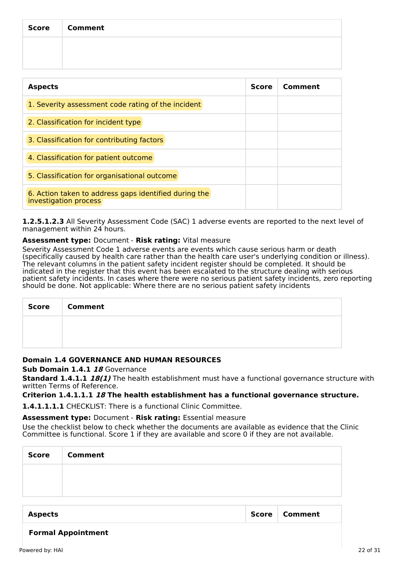| Score   Comment |
|-----------------|
|                 |
|                 |

| <b>Aspects</b>                                                                 | Score | Comment |
|--------------------------------------------------------------------------------|-------|---------|
| 1. Severity assessment code rating of the incident                             |       |         |
| 2. Classification for incident type                                            |       |         |
| 3. Classification for contributing factors                                     |       |         |
| 4. Classification for patient outcome                                          |       |         |
| 5. Classification for organisational outcome                                   |       |         |
| 6. Action taken to address gaps identified during the<br>investigation process |       |         |

**1.2.5.1.2.3** All Severity Assessment Code (SAC) 1 adverse events are reported to the next level of management within 24 hours.

# **Assessment type:** Document - **Risk rating:** Vital measure

Severity Assessment Code 1 adverse events are events which cause serious harm or death (specifically caused by health care rather than the health care user's underlying condition or illness). The relevant columns in the patient safety incident register should be completed. It should be indicated in the register that this event has been escalated to the structure dealing with serious patient safety incidents. In cases where there were no serious patient safety incidents, zero reporting should be done. Not applicable: Where there are no serious patient safety incidents

| <b>Score</b> | <b>Comment</b> |
|--------------|----------------|
|              |                |
|              |                |

#### **Domain 1.4 GOVERNANCE AND HUMAN RESOURCES**

**Sub Domain 1.4.1 18** Governance

**Standard 1.4.1.1 18(1)** The health establishment must have a functional governance structure with written Terms of Reference.

# **Criterion 1.4.1.1.1 18 The health establishment has a functional governance structure.**

**1.4.1.1.1.1** CHECKLIST: There is a functional Clinic Committee.

# **Assessment type:** Document - **Risk rating:** Essential measure

Use the checklist below to check whether the documents are available as evidence that the Clinic Committee is functional. Score 1 if they are available and score 0 if they are not available.

| <b>Score</b> | <b>Comment</b> |
|--------------|----------------|
|              |                |
|              |                |

# **Formal Appointment**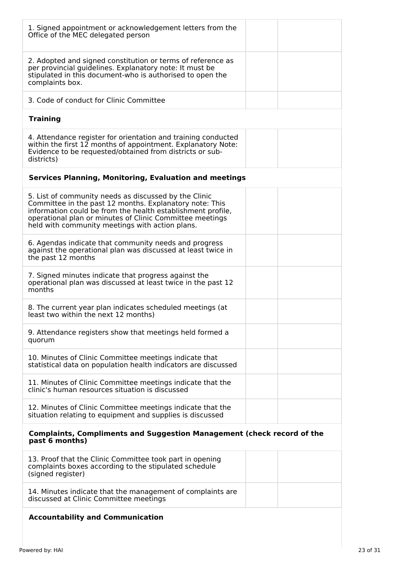| 1. Signed appointment or acknowledgement letters from the<br>Office of the MEC delegated person                                                                                                                                                                                                |  |
|------------------------------------------------------------------------------------------------------------------------------------------------------------------------------------------------------------------------------------------------------------------------------------------------|--|
| 2. Adopted and signed constitution or terms of reference as<br>per provincial guidelines. Explanatory note: It must be<br>stipulated in this document-who is authorised to open the<br>complaints box.                                                                                         |  |
| 3. Code of conduct for Clinic Committee                                                                                                                                                                                                                                                        |  |
| <b>Training</b>                                                                                                                                                                                                                                                                                |  |
| 4. Attendance register for orientation and training conducted<br>within the first 12 months of appointment. Explanatory Note:<br>Evidence to be requested/obtained from districts or sub-<br>districts)                                                                                        |  |
| <b>Services Planning, Monitoring, Evaluation and meetings</b>                                                                                                                                                                                                                                  |  |
| 5. List of community needs as discussed by the Clinic<br>Committee in the past 12 months. Explanatory note: This<br>information could be from the health establishment profile,<br>operational plan or minutes of Clinic Committee meetings<br>held with community meetings with action plans. |  |
| 6. Agendas indicate that community needs and progress<br>against the operational plan was discussed at least twice in<br>the past 12 months                                                                                                                                                    |  |
| 7. Signed minutes indicate that progress against the<br>operational plan was discussed at least twice in the past 12<br>months                                                                                                                                                                 |  |
| 8. The current year plan indicates scheduled meetings (at<br>least two within the next 12 months)                                                                                                                                                                                              |  |
| 9. Attendance registers show that meetings held formed a<br>quorum                                                                                                                                                                                                                             |  |
| 10. Minutes of Clinic Committee meetings indicate that<br>statistical data on population health indicators are discussed                                                                                                                                                                       |  |
| 11. Minutes of Clinic Committee meetings indicate that the<br>clinic's human resources situation is discussed                                                                                                                                                                                  |  |
| 12. Minutes of Clinic Committee meetings indicate that the<br>situation relating to equipment and supplies is discussed                                                                                                                                                                        |  |
| <b>Complaints, Compliments and Suggestion Management (check record of the</b><br>past 6 months)                                                                                                                                                                                                |  |
| 13. Proof that the Clinic Committee took part in opening<br>complaints boxes according to the stipulated schedule<br>(signed register)                                                                                                                                                         |  |
| 14. Minutes indicate that the management of complaints are<br>discussed at Clinic Committee meetings                                                                                                                                                                                           |  |
| <b>Accountability and Communication</b>                                                                                                                                                                                                                                                        |  |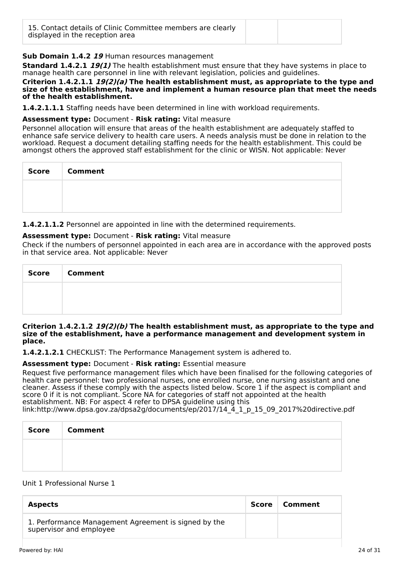| 15. Contact details of Clinic Committee members are clearly<br>displayed in the reception area |  |  |
|------------------------------------------------------------------------------------------------|--|--|
|------------------------------------------------------------------------------------------------|--|--|

# **Sub Domain 1.4.2 19** Human resources management

**Standard 1.4.2.1 19(1)** The health establishment must ensure that they have systems in place to manage health care personnel in line with relevant legislation, policies and guidelines.

#### **Criterion 1.4.2.1.1 19(2)(a) The health establishment must, as appropriate to the type and size of the establishment, have and implement a human resource plan that meet the needs of the health establishment.**

**1.4.2.1.1.1** Staffing needs have been determined in line with workload requirements.

#### **Assessment type:** Document - **Risk rating:** Vital measure

Personnel allocation will ensure that areas of the health establishment are adequately staffed to enhance safe service delivery to health care users. A needs analysis must be done in relation to the workload. Request a document detailing staffing needs for the health establishment. This could be amongst others the approved staff establishment for the clinic or WISN. Not applicable: Never

| Score   Comment |
|-----------------|
|                 |
|                 |

**1.4.2.1.1.2** Personnel are appointed in line with the determined requirements.

# **Assessment type:** Document - **Risk rating:** Vital measure

Check if the numbers of personnel appointed in each area are in accordance with the approved posts in that service area. Not applicable: Never

| <b>Score</b> | <b>Comment</b> |
|--------------|----------------|
|              |                |
|              |                |

#### **Criterion 1.4.2.1.2 19(2)(b) The health establishment must, as appropriate to the type and size of the establishment, have a performance management and development system in place.**

**1.4.2.1.2.1** CHECKLIST: The Performance Management system is adhered to.

#### **Assessment type:** Document - **Risk rating:** Essential measure

Request five performance management files which have been finalised for the following categories of health care personnel: two professional nurses, one enrolled nurse, one nursing assistant and one cleaner. Assess if these comply with the aspects listed below. Score 1 if the aspect is compliant and score 0 if it is not compliant. Score NA for categories of staff not appointed at the health establishment. NB: For aspect 4 refer to DPSA quideline using this

link:http://www.dpsa.gov.za/dpsa2g/documents/ep/2017/14\_4\_1\_p\_15\_09\_2017%20directive.pdf

| <b>Score</b> | <b>Comment</b> |
|--------------|----------------|
|              |                |
|              |                |

# Unit 1 Professional Nurse 1

| <b>Aspects</b>                                                                  | <b>Score</b> | Comment |
|---------------------------------------------------------------------------------|--------------|---------|
| 1. Performance Management Agreement is signed by the<br>supervisor and employee |              |         |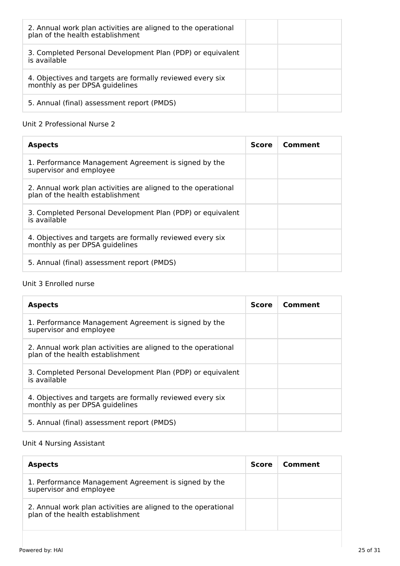| 2. Annual work plan activities are aligned to the operational<br>plan of the health establishment |  |
|---------------------------------------------------------------------------------------------------|--|
| 3. Completed Personal Development Plan (PDP) or equivalent<br>is available                        |  |
| 4. Objectives and targets are formally reviewed every six<br>monthly as per DPSA guidelines       |  |
| 5. Annual (final) assessment report (PMDS)                                                        |  |

# Unit 2 Professional Nurse 2

| <b>Aspects</b>                                                                                    | <b>Score</b> | Comment |
|---------------------------------------------------------------------------------------------------|--------------|---------|
| 1. Performance Management Agreement is signed by the<br>supervisor and employee                   |              |         |
| 2. Annual work plan activities are aligned to the operational<br>plan of the health establishment |              |         |
| 3. Completed Personal Development Plan (PDP) or equivalent<br>is available                        |              |         |
| 4. Objectives and targets are formally reviewed every six<br>monthly as per DPSA quidelines       |              |         |
| 5. Annual (final) assessment report (PMDS)                                                        |              |         |

# Unit 3 Enrolled nurse

| <b>Aspects</b>                                                                                    | <b>Score</b> | Comment |
|---------------------------------------------------------------------------------------------------|--------------|---------|
| 1. Performance Management Agreement is signed by the<br>supervisor and employee                   |              |         |
| 2. Annual work plan activities are aligned to the operational<br>plan of the health establishment |              |         |
| 3. Completed Personal Development Plan (PDP) or equivalent<br>is available                        |              |         |
| 4. Objectives and targets are formally reviewed every six<br>monthly as per DPSA guidelines       |              |         |
| 5. Annual (final) assessment report (PMDS)                                                        |              |         |

# Unit 4 Nursing Assistant

| <b>Aspects</b>                                                                                    | <b>Score</b> | Comment |
|---------------------------------------------------------------------------------------------------|--------------|---------|
| 1. Performance Management Agreement is signed by the<br>supervisor and employee                   |              |         |
| 2. Annual work plan activities are aligned to the operational<br>plan of the health establishment |              |         |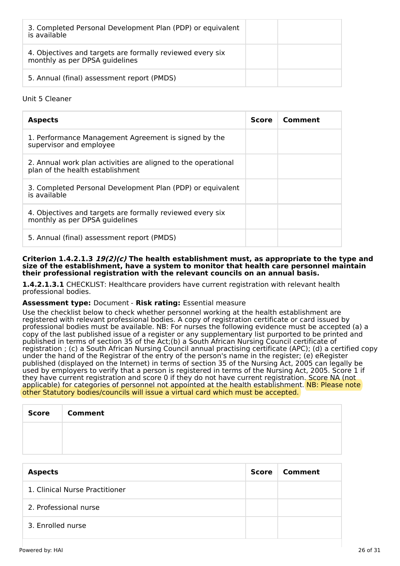| 3. Completed Personal Development Plan (PDP) or equivalent<br>is available                  |  |
|---------------------------------------------------------------------------------------------|--|
| 4. Objectives and targets are formally reviewed every six<br>monthly as per DPSA guidelines |  |
| 5. Annual (final) assessment report (PMDS)                                                  |  |

#### Unit 5 Cleaner

| <b>Aspects</b>                                                                                    | <b>Score</b> | Comment |
|---------------------------------------------------------------------------------------------------|--------------|---------|
| 1. Performance Management Agreement is signed by the<br>supervisor and employee                   |              |         |
| 2. Annual work plan activities are aligned to the operational<br>plan of the health establishment |              |         |
| 3. Completed Personal Development Plan (PDP) or equivalent<br>is available                        |              |         |
| 4. Objectives and targets are formally reviewed every six<br>monthly as per DPSA quidelines       |              |         |
| 5. Annual (final) assessment report (PMDS)                                                        |              |         |

**Criterion 1.4.2.1.3 19(2)(c) The health establishment must, as appropriate to the type and size of the establishment, have a system to monitor that health care personnel maintain their professional registration with the relevant councils on an annual basis.**

**1.4.2.1.3.1** CHECKLIST: Healthcare providers have current registration with relevant health professional bodies.

#### **Assessment type:** Document - **Risk rating:** Essential measure

Use the checklist below to check whether personnel working at the health establishment are registered with relevant professional bodies. A copy of registration certificate or card issued by professional bodies must be available. NB: For nurses the following evidence must be accepted (a) a copy of the last published issue of a register or any supplementary list purported to be printed and published in terms of section 35 of the Act;(b) a South African Nursing Council certificate of registration ; (c) a South African Nursing Council annual practising certificate (APC); (d) a certified copy under the hand of the Registrar of the entry of the person's name in the register; (e) eRegister published (displayed on the Internet) in terms of section 35 of the Nursing Act, 2005 can legally be used by employers to verify that a person is registered in terms of the Nursing Act, 2005. Score 1 if they have current registration and score 0 if they do not have current registration. Score NA (not applicable) for categories of personnel not appointed at the health establishment. NB: Please note other Statutory bodies/councils will issue a virtual card which must be accepted.

| Score | <b>Comment</b> |
|-------|----------------|
|       |                |
|       |                |

| <b>Aspects</b>                 | Score | Comment |
|--------------------------------|-------|---------|
| 1. Clinical Nurse Practitioner |       |         |
| 2. Professional nurse          |       |         |
| 3. Enrolled nurse              |       |         |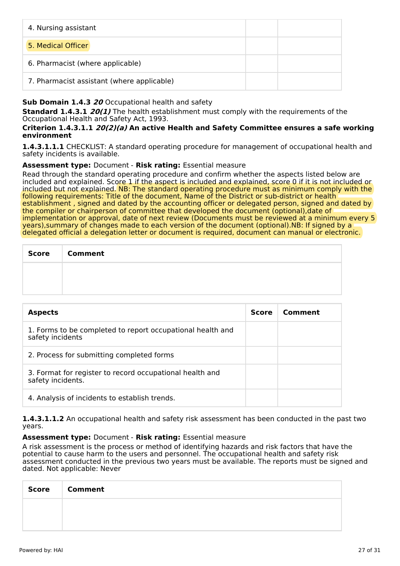| 4. Nursing assistant                       |  |
|--------------------------------------------|--|
| 5. Medical Officer                         |  |
| 6. Pharmacist (where applicable)           |  |
| 7. Pharmacist assistant (where applicable) |  |

# **Sub Domain 1.4.3 20** Occupational health and safety

**Standard 1.4.3.1 20(1)** The health establishment must comply with the requirements of the Occupational Health and Safety Act, 1993.

#### **Criterion 1.4.3.1.1 20(2)(a) An active Health and Safety Committee ensures a safe working environment**

**1.4.3.1.1.1** CHECKLIST: A standard operating procedure for management of occupational health and safety incidents is available.

# **Assessment type:** Document - **Risk rating:** Essential measure

Read through the standard operating procedure and confirm whether the aspects listed below are included and explained. Score 1 if the aspect is included and explained, score 0 if it is not included or included but not explained. NB: The standard operating procedure must as minimum comply with the following requirements: Title of the document, Name of the District or sub-district or health establishment , signed and dated by the accounting officer or delegated person, signed and dated by the compiler or chairperson of committee that developed the document (optional),date of implementation or approval, date of next review (Documents must be reviewed at a minimum every 5 years),summary of changes made to each version of the document (optional).NB: If signed by a delegated official a delegation letter or document is required, document can manual or electronic.

| Score | <b>Comment</b> |
|-------|----------------|
|       |                |
|       |                |

| <b>Aspects</b>                                                                 | <b>Score</b> | Comment |
|--------------------------------------------------------------------------------|--------------|---------|
| 1. Forms to be completed to report occupational health and<br>safety incidents |              |         |
| 2. Process for submitting completed forms                                      |              |         |
| 3. Format for register to record occupational health and<br>safety incidents.  |              |         |
| 4. Analysis of incidents to establish trends.                                  |              |         |

**1.4.3.1.1.2** An occupational health and safety risk assessment has been conducted in the past two years.

#### **Assessment type:** Document - **Risk rating:** Essential measure

A risk assessment is the process or method of identifying hazards and risk factors that have the potential to cause harm to the users and personnel. The occupational health and safety risk assessment conducted in the previous two years must be available. The reports must be signed and dated. Not applicable: Never

| <b>Score</b> | Comment |
|--------------|---------|
|              |         |
|              |         |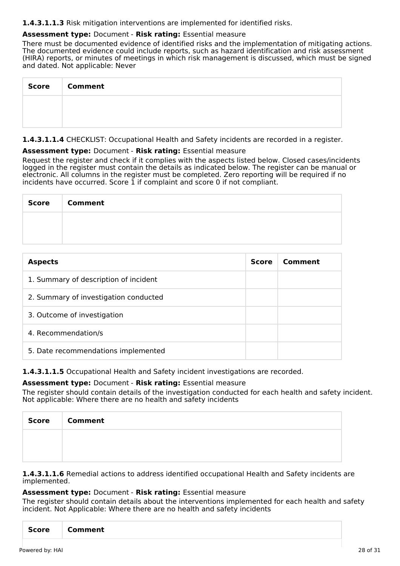**1.4.3.1.1.3** Risk mitigation interventions are implemented for identified risks.

# **Assessment type:** Document - **Risk rating:** Essential measure

There must be documented evidence of identified risks and the implementation of mitigating actions. The documented evidence could include reports, such as hazard identification and risk assessment (HIRA) reports, or minutes of meetings in which risk management is discussed, which must be signed and dated. Not applicable: Never

| Score   Comment |
|-----------------|
|                 |
|                 |

**1.4.3.1.1.4** CHECKLIST: Occupational Health and Safety incidents are recorded in a register.

# **Assessment type:** Document - **Risk rating:** Essential measure

Request the register and check if it complies with the aspects listed below. Closed cases/incidents logged in the register must contain the details as indicated below. The register can be manual or electronic. All columns in the register must be completed. Zero reporting will be required if no incidents have occurred. Score 1 if complaint and score 0 if not compliant.

| <b>Score</b> | <b>Comment</b> |
|--------------|----------------|
|              |                |
|              |                |

| <b>Aspects</b>                        | <b>Score</b> | Comment |
|---------------------------------------|--------------|---------|
| 1. Summary of description of incident |              |         |
| 2. Summary of investigation conducted |              |         |
| 3. Outcome of investigation           |              |         |
| 4. Recommendation/s                   |              |         |
| 5. Date recommendations implemented   |              |         |

**1.4.3.1.1.5** Occupational Health and Safety incident investigations are recorded.

# **Assessment type:** Document - **Risk rating:** Essential measure

The register should contain details of the investigation conducted for each health and safety incident. Not applicable: Where there are no health and safety incidents

| <b>Score</b> | <b>Comment</b> |
|--------------|----------------|
|              |                |
|              |                |

**1.4.3.1.1.6** Remedial actions to address identified occupational Health and Safety incidents are implemented.

#### **Assessment type:** Document - **Risk rating:** Essential measure

The register should contain details about the interventions implemented for each health and safety incident. Not Applicable: Where there are no health and safety incidents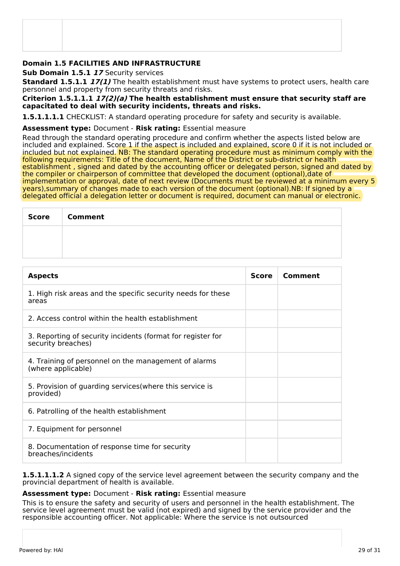# **Domain 1.5 FACILITIES AND INFRASTRUCTURE**

**Sub Domain 1.5.1 17** Security services

**Standard 1.5.1.1 17(1)** The health establishment must have systems to protect users, health care personnel and property from security threats and risks.

#### **Criterion 1.5.1.1.1 17(2)(a) The health establishment must ensure that security staff are capacitated to deal with security incidents, threats and risks.**

**1.5.1.1.1.1** CHECKLIST: A standard operating procedure for safety and security is available.

#### **Assessment type:** Document - **Risk rating:** Essential measure

Read through the standard operating procedure and confirm whether the aspects listed below are included and explained. Score 1 if the aspect is included and explained, score 0 if it is not included or included but not explained. NB: The standard operating procedure must as minimum comply with the following requirements: Title of the document, Name of the District or sub-district or health establishment , signed and dated by the accounting officer or delegated person, signed and dated by the compiler or chairperson of committee that developed the document (optional),date of implementation or approval, date of next review (Documents must be reviewed at a minimum every 5 years),summary of changes made to each version of the document (optional).NB: If signed by a delegated official a delegation letter or document is required, document can manual or electronic.

| Score | <b>Comment</b> |
|-------|----------------|
|       |                |
|       |                |

| <b>Aspects</b>                                                                    | <b>Score</b> | Comment |
|-----------------------------------------------------------------------------------|--------------|---------|
| 1. High risk areas and the specific security needs for these<br>areas             |              |         |
| 2. Access control within the health establishment                                 |              |         |
| 3. Reporting of security incidents (format for register for<br>security breaches) |              |         |
| 4. Training of personnel on the management of alarms<br>(where applicable)        |              |         |
| 5. Provision of guarding services (where this service is<br>provided)             |              |         |
| 6. Patrolling of the health establishment                                         |              |         |
| 7. Equipment for personnel                                                        |              |         |
| 8. Documentation of response time for security<br>breaches/incidents              |              |         |

**1.5.1.1.1.2** A signed copy of the service level agreement between the security company and the provincial department of health is available.

#### **Assessment type:** Document - **Risk rating:** Essential measure

This is to ensure the safety and security of users and personnel in the health establishment. The service level agreement must be valid (not expired) and signed by the service provider and the responsible accounting officer. Not applicable: Where the service is not outsourced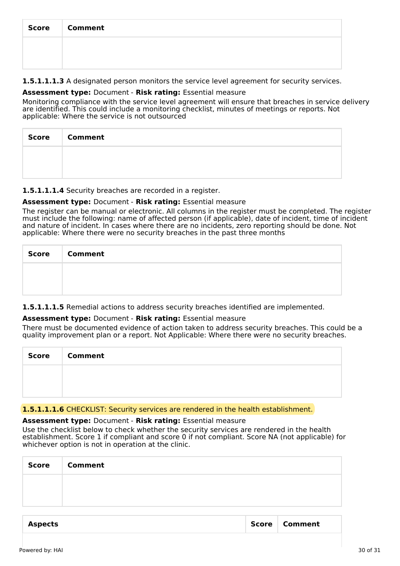| <b>Score</b> | <b>Comment</b> |
|--------------|----------------|
|              |                |
|              |                |

**1.5.1.1.1.3** A designated person monitors the service level agreement for security services.

# **Assessment type:** Document - **Risk rating:** Essential measure

Monitoring compliance with the service level agreement will ensure that breaches in service delivery are identified. This could include a monitoring checklist, minutes of meetings or reports. Not applicable: Where the service is not outsourced

| Score | <b>Comment</b> |
|-------|----------------|
|       |                |
|       |                |

# **1.5.1.1.1.4** Security breaches are recorded in a register.

# **Assessment type:** Document - **Risk rating:** Essential measure

The register can be manual or electronic. All columns in the register must be completed. The register must include the following: name of affected person (if applicable), date of incident, time of incident and nature of incident. In cases where there are no incidents, zero reporting should be done. Not applicable: Where there were no security breaches in the past three months

| Score   Comment |
|-----------------|
|                 |
|                 |

**1.5.1.1.1.5** Remedial actions to address security breaches identified are implemented.

#### **Assessment type:** Document - **Risk rating:** Essential measure

There must be documented evidence of action taken to address security breaches. This could be a quality improvement plan or a report. Not Applicable: Where there were no security breaches.

| <b>Score</b> | <b>Comment</b> |
|--------------|----------------|
|              |                |
|              |                |

# **1.5.1.1.1.6** CHECKLIST: Security services are rendered in the health establishment.

#### **Assessment type:** Document - **Risk rating:** Essential measure

Use the checklist below to check whether the security services are rendered in the health establishment. Score 1 if compliant and score 0 if not compliant. Score NA (not applicable) for whichever option is not in operation at the clinic.

| <b>Score</b> | <b>Comment</b> |
|--------------|----------------|
|              |                |
|              |                |
|              |                |

| <b>Aspects</b> | Score   Comment |  |
|----------------|-----------------|--|
|                |                 |  |